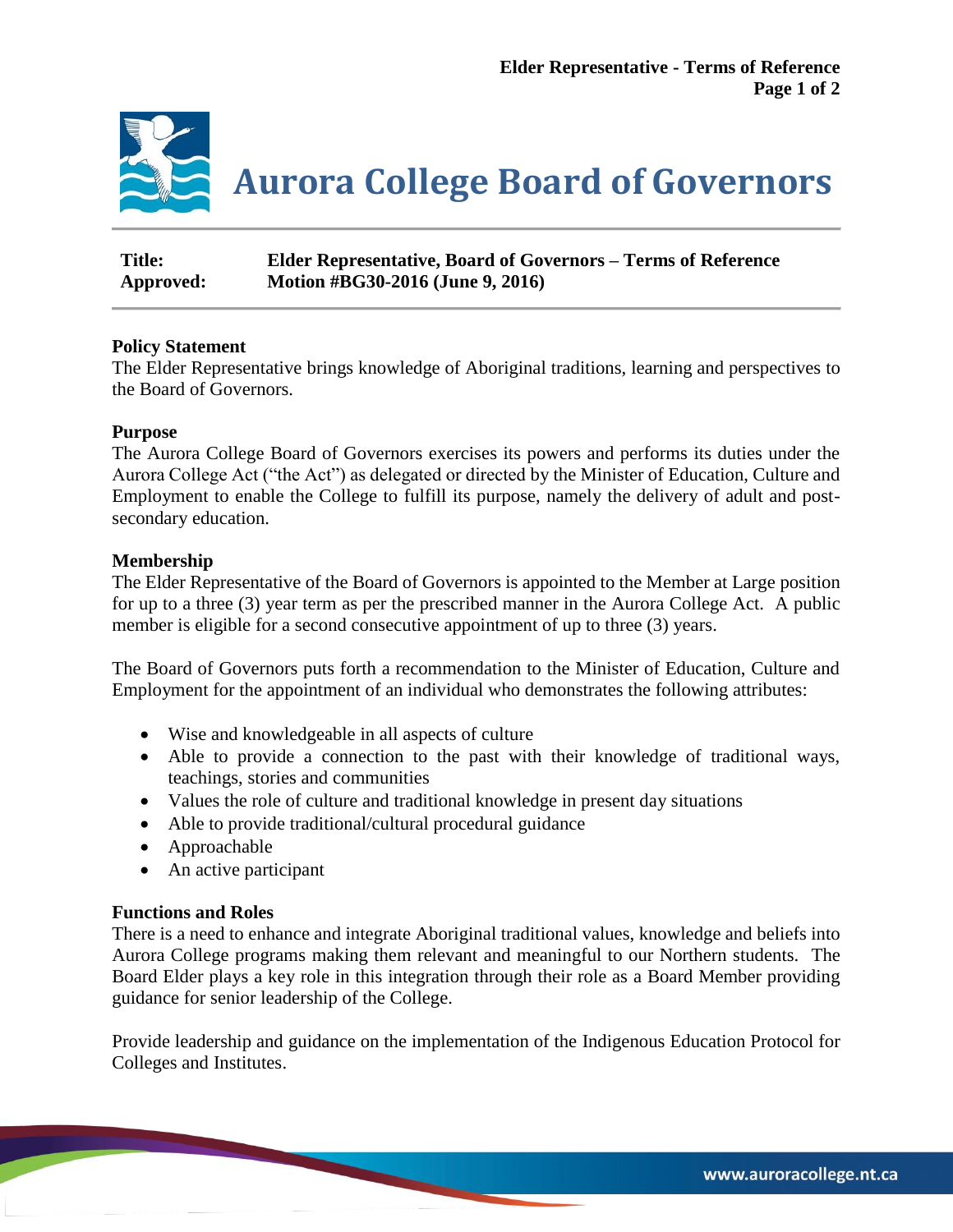

| <b>Title:</b> | <b>Elder Representative, Board of Governors – Terms of Reference</b> |
|---------------|----------------------------------------------------------------------|
| Approved:     | Motion #BG30-2016 (June 9, 2016)                                     |

# **Policy Statement**

The Elder Representative brings knowledge of Aboriginal traditions, learning and perspectives to the Board of Governors.

# **Purpose**

The Aurora College Board of Governors exercises its powers and performs its duties under the Aurora College Act ("the Act") as delegated or directed by the Minister of Education, Culture and Employment to enable the College to fulfill its purpose, namely the delivery of adult and postsecondary education.

# **Membership**

The Elder Representative of the Board of Governors is appointed to the Member at Large position for up to a three (3) year term as per the prescribed manner in the Aurora College Act. A public member is eligible for a second consecutive appointment of up to three (3) years.

The Board of Governors puts forth a recommendation to the Minister of Education, Culture and Employment for the appointment of an individual who demonstrates the following attributes:

- Wise and knowledgeable in all aspects of culture
- Able to provide a connection to the past with their knowledge of traditional ways, teachings, stories and communities
- Values the role of culture and traditional knowledge in present day situations
- Able to provide traditional/cultural procedural guidance
- Approachable
- An active participant

# **Functions and Roles**

There is a need to enhance and integrate Aboriginal traditional values, knowledge and beliefs into Aurora College programs making them relevant and meaningful to our Northern students. The Board Elder plays a key role in this integration through their role as a Board Member providing guidance for senior leadership of the College.

Provide leadership and guidance on the implementation of the Indigenous Education Protocol for Colleges and Institutes.